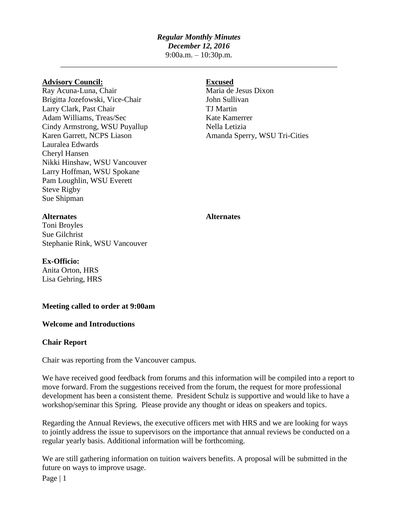# *Regular Monthly Minutes*

*December 12, 2016*

9:00a.m. – 10:30p.m. \_\_\_\_\_\_\_\_\_\_\_\_\_\_\_\_\_\_\_\_\_\_\_\_\_\_\_\_\_\_\_\_\_\_\_\_\_\_\_\_\_\_\_\_\_\_\_\_\_\_\_\_\_\_\_\_\_\_\_\_\_\_\_\_\_\_\_\_\_\_\_

#### **Advisory Council: Excused**

Ray Acuna-Luna, Chair Maria de Jesus Dixon Brigitta Jozefowski, Vice-Chair John Sullivan Larry Clark, Past Chair TJ Martin Adam Williams, Treas/Sec Kate Kamerrer Cindy Armstrong, WSU Puyallup Nella Letizia Karen Garrett, NCPS Liason Amanda Sperry, WSU Tri-Cities Lauralea Edwards Cheryl Hansen Nikki Hinshaw, WSU Vancouver Larry Hoffman, WSU Spokane Pam Loughlin, WSU Everett Steve Rigby Sue Shipman

# **Alternates Alternates**

Toni Broyles Sue Gilchrist Stephanie Rink, WSU Vancouver

## **Ex-Officio:**

Anita Orton, HRS Lisa Gehring, HRS

### **Meeting called to order at 9:00am**

### **Welcome and Introductions**

### **Chair Report**

Chair was reporting from the Vancouver campus.

We have received good feedback from forums and this information will be compiled into a report to move forward. From the suggestions received from the forum, the request for more professional development has been a consistent theme. President Schulz is supportive and would like to have a workshop/seminar this Spring. Please provide any thought or ideas on speakers and topics.

Regarding the Annual Reviews, the executive officers met with HRS and we are looking for ways to jointly address the issue to supervisors on the importance that annual reviews be conducted on a regular yearly basis. Additional information will be forthcoming.

We are still gathering information on tuition waivers benefits. A proposal will be submitted in the future on ways to improve usage.

Page  $|1$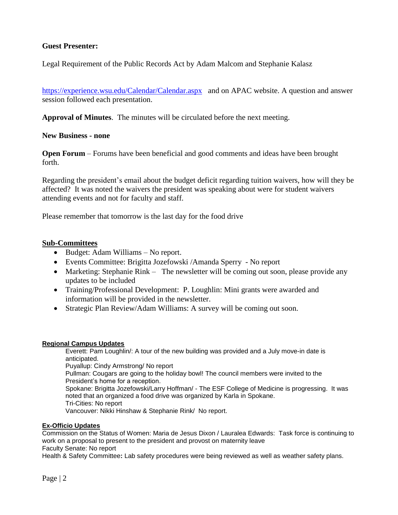### **Guest Presenter:**

Legal Requirement of the Public Records Act by Adam Malcom and Stephanie Kalasz

<https://experience.wsu.edu/Calendar/Calendar.aspx>and on APAC website. A question and answer session followed each presentation.

**Approval of Minutes**. The minutes will be circulated before the next meeting.

#### **New Business - none**

**Open Forum** – Forums have been beneficial and good comments and ideas have been brought forth.

Regarding the president's email about the budget deficit regarding tuition waivers, how will they be affected? It was noted the waivers the president was speaking about were for student waivers attending events and not for faculty and staff.

Please remember that tomorrow is the last day for the food drive

#### **Sub-Committees**

- Budget: Adam Williams No report.
- Events Committee: Brigitta Jozefowski /Amanda Sperry No report
- Marketing: Stephanie Rink The newsletter will be coming out soon, please provide any updates to be included
- Training/Professional Development: P. Loughlin: Mini grants were awarded and information will be provided in the newsletter.
- Strategic Plan Review/Adam Williams: A survey will be coming out soon.

#### **Regional Campus Updates**

Everett: Pam Loughlin/: A tour of the new building was provided and a July move-in date is anticipated. Puyallup: Cindy Armstrong/ No report Pullman: Cougars are going to the holiday bowl! The council members were invited to the President's home for a reception. Spokane: Brigitta Jozefowski/Larry Hoffman/ - The ESF College of Medicine is progressing. It was noted that an organized a food drive was organized by Karla in Spokane. Tri-Cities: No report Vancouver: Nikki Hinshaw & Stephanie Rink/ No report.

#### **Ex-Officio Updates**

Commission on the Status of Women: Maria de Jesus Dixon / Lauralea Edwards: Task force is continuing to work on a proposal to present to the president and provost on maternity leave Faculty Senate: No report

Health & Safety Committee**:** Lab safety procedures were being reviewed as well as weather safety plans.